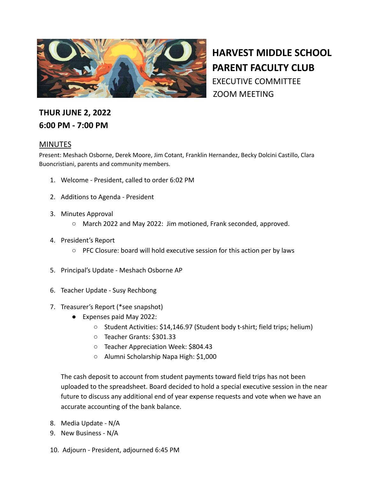

**HARVEST MIDDLE SCHOOL PARENT FACULTY CLUB** EXECUTIVE COMMITTEE ZOOM MEETING

## **THUR JUNE 2, 2022 6:00 PM - 7:00 PM**

## **MINUTES**

Present: Meshach Osborne, Derek Moore, Jim Cotant, Franklin Hernandez, Becky Dolcini Castillo, Clara Buoncristiani, parents and community members.

- 1. Welcome President, called to order 6:02 PM
- 2. Additions to Agenda President
- 3. Minutes Approval
	- March 2022 and May 2022: Jim motioned, Frank seconded, approved.
- 4. President's Report
	- PFC Closure: board will hold executive session for this action per by laws
- 5. Principal's Update Meshach Osborne AP
- 6. Teacher Update Susy Rechbong
- 7. Treasurer's Report (\*see snapshot)
	- Expenses paid May 2022:
		- Student Activities: \$14,146.97 (Student body t-shirt; field trips; helium)
		- Teacher Grants: \$301.33
		- Teacher Appreciation Week: \$804.43
		- Alumni Scholarship Napa High: \$1,000

The cash deposit to account from student payments toward field trips has not been uploaded to the spreadsheet. Board decided to hold a special executive session in the near future to discuss any additional end of year expense requests and vote when we have an accurate accounting of the bank balance.

- 8. Media Update N/A
- 9. New Business N/A
- 10. Adjourn President, adjourned 6:45 PM